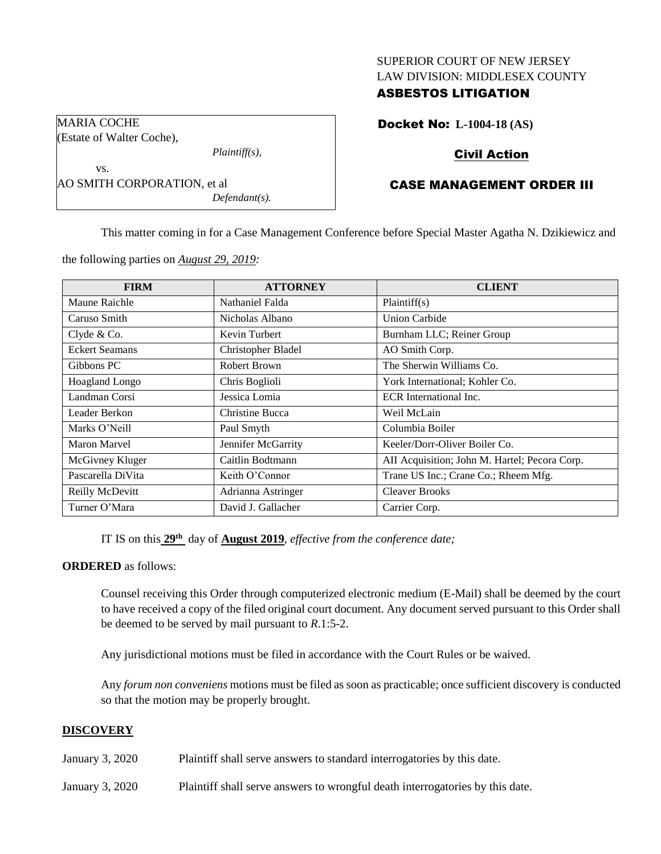## SUPERIOR COURT OF NEW JERSEY LAW DIVISION: MIDDLESEX COUNTY

## ASBESTOS LITIGATION

Docket No: **L-1004-18 (AS)**

# Civil Action

# CASE MANAGEMENT ORDER III

This matter coming in for a Case Management Conference before Special Master Agatha N. Dzikiewicz and

the following parties on *August 29, 2019:*

*Plaintiff(s),*

*Defendant(s).*

MARIA COCHE

vs.

(Estate of Walter Coche),

AO SMITH CORPORATION, et al

| <b>FIRM</b>           | <b>ATTORNEY</b>    | <b>CLIENT</b>                                 |
|-----------------------|--------------------|-----------------------------------------------|
| Maune Raichle         | Nathaniel Falda    | Plaintiff(s)                                  |
| Caruso Smith          | Nicholas Albano    | <b>Union Carbide</b>                          |
| Clyde & Co.           | Kevin Turbert      | Burnham LLC; Reiner Group                     |
| <b>Eckert Seamans</b> | Christopher Bladel | AO Smith Corp.                                |
| Gibbons PC            | Robert Brown       | The Sherwin Williams Co.                      |
| Hoagland Longo        | Chris Boglioli     | York International; Kohler Co.                |
| Landman Corsi         | Jessica Lomia      | ECR International Inc.                        |
| Leader Berkon         | Christine Bucca    | Weil McLain                                   |
| Marks O'Neill         | Paul Smyth         | Columbia Boiler                               |
| Maron Marvel          | Jennifer McGarrity | Keeler/Dorr-Oliver Boiler Co.                 |
| McGivney Kluger       | Caitlin Bodtmann   | AII Acquisition; John M. Hartel; Pecora Corp. |
| Pascarella DiVita     | Keith O'Connor     | Trane US Inc.; Crane Co.; Rheem Mfg.          |
| Reilly McDevitt       | Adrianna Astringer | <b>Cleaver Brooks</b>                         |
| Turner O'Mara         | David J. Gallacher | Carrier Corp.                                 |

IT IS on this **29th** day of **August 2019**, *effective from the conference date;*

### **ORDERED** as follows:

Counsel receiving this Order through computerized electronic medium (E-Mail) shall be deemed by the court to have received a copy of the filed original court document. Any document served pursuant to this Order shall be deemed to be served by mail pursuant to *R*.1:5-2.

Any jurisdictional motions must be filed in accordance with the Court Rules or be waived.

Any *forum non conveniens* motions must be filed as soon as practicable; once sufficient discovery is conducted so that the motion may be properly brought.

#### **DISCOVERY**

- January 3, 2020 Plaintiff shall serve answers to standard interrogatories by this date.
- January 3, 2020 Plaintiff shall serve answers to wrongful death interrogatories by this date.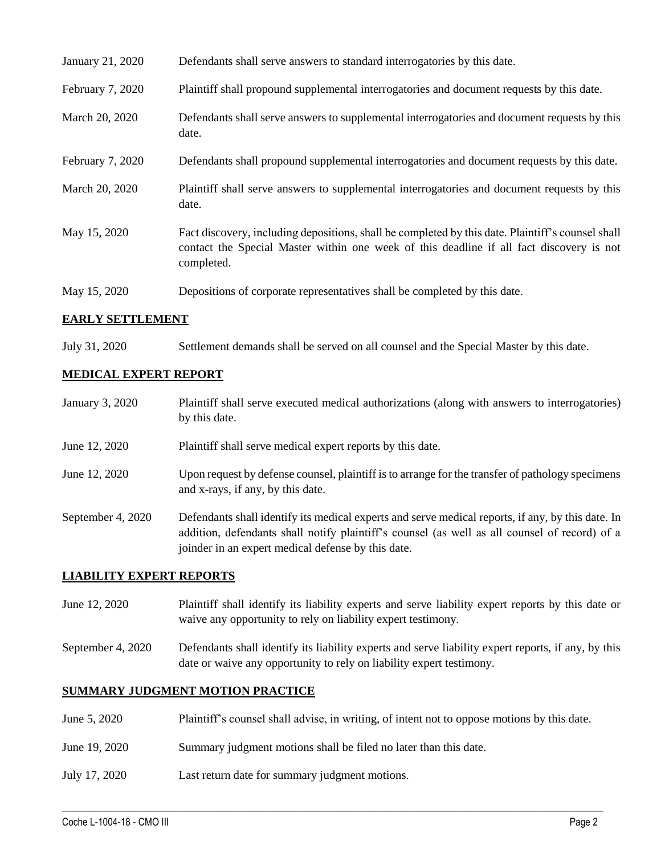| January 21, 2020 | Defendants shall serve answers to standard interrogatories by this date.                                                                                                                                    |
|------------------|-------------------------------------------------------------------------------------------------------------------------------------------------------------------------------------------------------------|
| February 7, 2020 | Plaintiff shall propound supplemental interrogatories and document requests by this date.                                                                                                                   |
| March 20, 2020   | Defendants shall serve answers to supplemental interrogatories and document requests by this<br>date.                                                                                                       |
| February 7, 2020 | Defendants shall propound supplemental interrogatories and document requests by this date.                                                                                                                  |
| March 20, 2020   | Plaintiff shall serve answers to supplemental interrogatories and document requests by this<br>date.                                                                                                        |
| May 15, 2020     | Fact discovery, including depositions, shall be completed by this date. Plaintiff's counsel shall<br>contact the Special Master within one week of this deadline if all fact discovery is not<br>completed. |
| May 15, 2020     | Depositions of corporate representatives shall be completed by this date.                                                                                                                                   |

## **EARLY SETTLEMENT**

July 31, 2020 Settlement demands shall be served on all counsel and the Special Master by this date.

### **MEDICAL EXPERT REPORT**

| January 3, 2020 | Plaintiff shall serve executed medical authorizations (along with answers to interrogatories)<br>by this date.                        |
|-----------------|---------------------------------------------------------------------------------------------------------------------------------------|
| June 12, 2020   | Plaintiff shall serve medical expert reports by this date.                                                                            |
| June 12, 2020   | Upon request by defense counsel, plaintiff is to arrange for the transfer of pathology specimens<br>and x-rays, if any, by this date. |

September 4, 2020 Defendants shall identify its medical experts and serve medical reports, if any, by this date. In addition, defendants shall notify plaintiff's counsel (as well as all counsel of record) of a joinder in an expert medical defense by this date.

#### **LIABILITY EXPERT REPORTS**

- June 12, 2020 Plaintiff shall identify its liability experts and serve liability expert reports by this date or waive any opportunity to rely on liability expert testimony.
- September 4, 2020 Defendants shall identify its liability experts and serve liability expert reports, if any, by this date or waive any opportunity to rely on liability expert testimony.

## **SUMMARY JUDGMENT MOTION PRACTICE**

June 5, 2020 Plaintiff's counsel shall advise, in writing, of intent not to oppose motions by this date.

 $\_$  , and the set of the set of the set of the set of the set of the set of the set of the set of the set of the set of the set of the set of the set of the set of the set of the set of the set of the set of the set of th

- June 19, 2020 Summary judgment motions shall be filed no later than this date.
- July 17, 2020 Last return date for summary judgment motions.